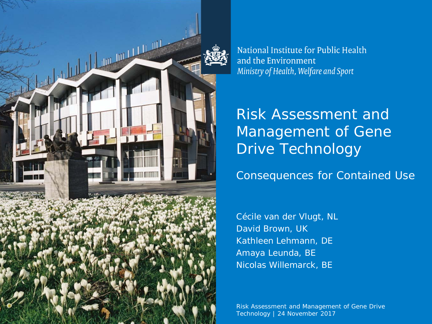

National Institute for Public Health and the Environment Ministry of Health, Welfare and Sport

## Risk Assessment and Management of Gene Drive Technology

#### Consequences for Contained Use

Cécile van der Vlugt, NL David Brown, UK Kathleen Lehmann, DE Amaya Leunda, BE Nicolas Willemarck, BE

Risk Assessment and Management of Gene Drive Technology | 24 November 2017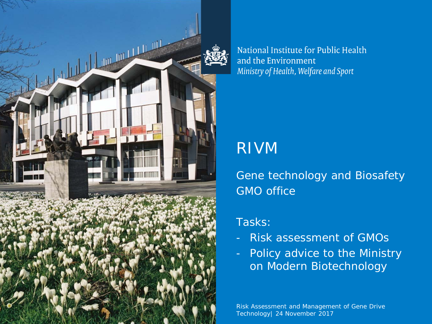

National Institute for Public Health and the Environment Ministry of Health, Welfare and Sport

## RIVM

Gene technology and Biosafety GMO office

#### Tasks:

- Risk assessment of GMOs
- Policy advice to the Ministry on Modern Biotechnology

Risk Assessment and Management of Gene Drive Technology| 24 November 2017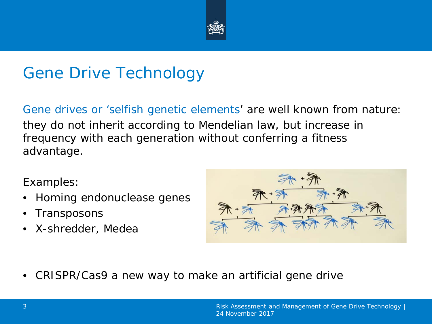

# Gene Drive Technology

Gene drives or 'selfish genetic elements' are well known from nature: they do not inherit according to Mendelian law, but increase in frequency with each generation without conferring a fitness advantage.

Examples:

- Homing endonuclease genes
- **Transposons**
- X-shredder, Medea



• CRISPR/Cas9 a new way to make an artificial gene drive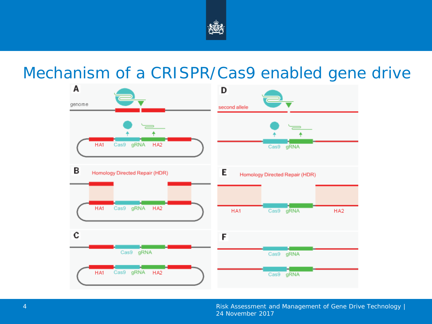

### Mechanism of a CRISPR/Cas9 enabled gene drive



Risk Assessment and Management of Gene Drive Technology | 24 November 2017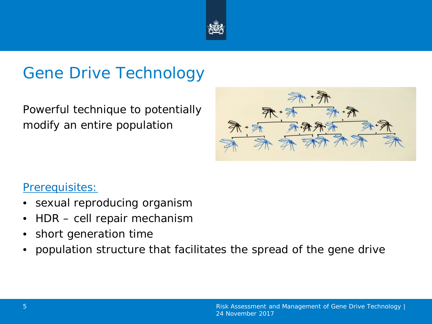

# Gene Drive Technology

Powerful technique to potentially modify an entire population



#### Prerequisites:

- sexual reproducing organism
- HDR cell repair mechanism
- short generation time
- population structure that facilitates the spread of the gene drive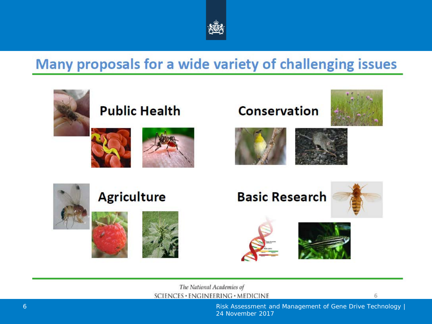

### Many proposals for a wide variety of challenging issues



The National Academies of SCIENCES · ENGINEERING · MEDICINE

Risk Assessment and Management of Gene Drive Technology | 24 November 2017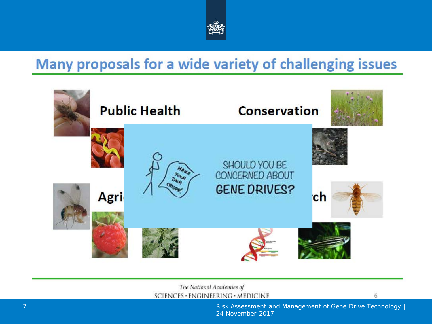

## Many proposals for a wide variety of challenging issues



The National Academies of SCIENCES · ENGINEERING · MEDICINE

6

Risk Assessment and Management of Gene Drive Technology | 24 November 2017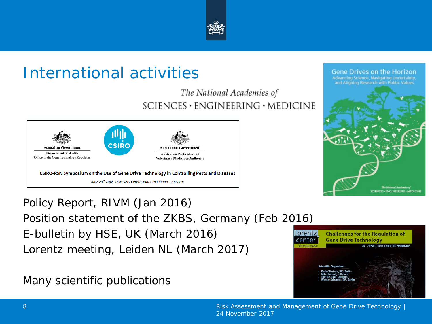

## International activities

The National Academies of  $SCIENCES · ENGINEERING · MEDICINE$ 





Policy Report, RIVM (Jan 2016) Position statement of the ZKBS, Germany (Feb 2016) E-bulletin by HSE, UK (March 2016) Lorentz meeting, Leiden NL (March 2017)

*Many scientific publications*

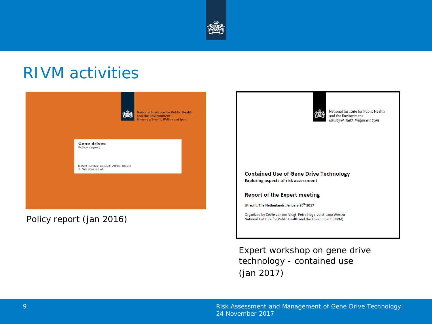

### RIVM activities



(jan 2017)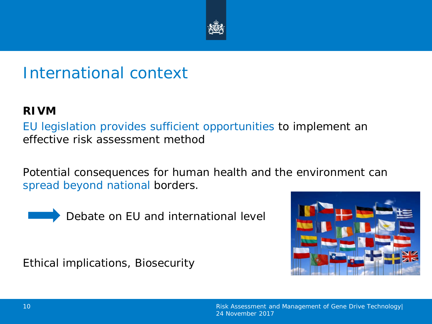

## International context

#### **RIVM**

EU legislation provides sufficient opportunities to implement an effective risk assessment method

Potential consequences for human health and the environment can spread beyond national borders.



Debate on EU and international level



Ethical implications, Biosecurity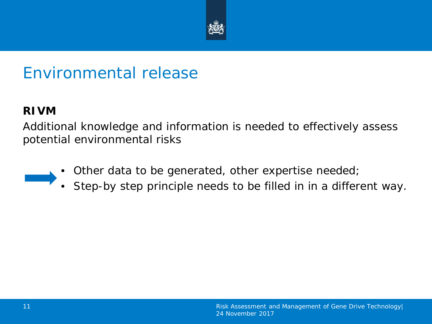

## Environmental release

#### **RIVM**

Additional knowledge and information is needed to effectively assess potential environmental risks

- Other data to be generated, other expertise needed;
- Step-by step principle needs to be filled in in a different way.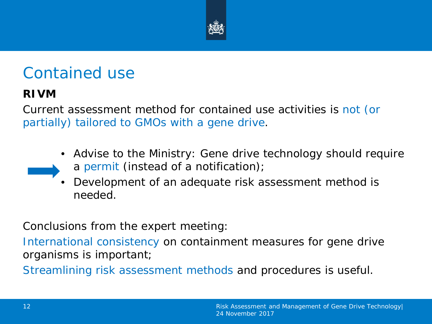

## Contained use

### **RIVM**

Current assessment method for contained use activities is not (or partially) tailored to GMOs with a gene drive.

- Advise to the Ministry: Gene drive technology should require a permit (instead of a notification);
- Development of an adequate risk assessment method is needed.

Conclusions from the expert meeting:

International consistency on containment measures for gene drive organisms is important;

Streamlining risk assessment methods and procedures is useful.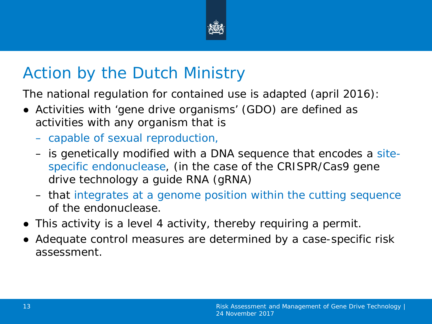

# Action by the Dutch Ministry

The national regulation for contained use is adapted (april 2016):

- Activities with 'gene drive organisms' (GDO) are defined as activities with any organism that is
	- capable of sexual reproduction,
	- is genetically modified with a DNA sequence that encodes a sitespecific endonuclease, (in the case of the CRISPR/Cas9 gene drive technology a guide RNA (gRNA)
	- that integrates at a genome position within the cutting sequence of the endonuclease.
- This activity is a level 4 activity, thereby requiring a permit.
- Adequate control measures are determined by a case-specific risk assessment.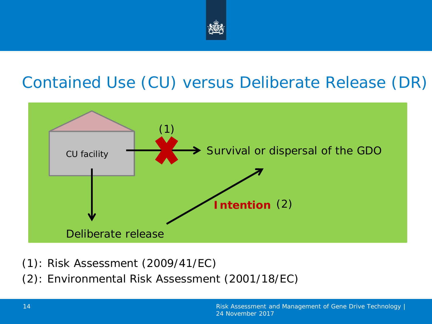

# Contained Use (CU) versus Deliberate Release (DR)



- (1): Risk Assessment (2009/41/EC)
- (2): Environmental Risk Assessment (2001/18/EC)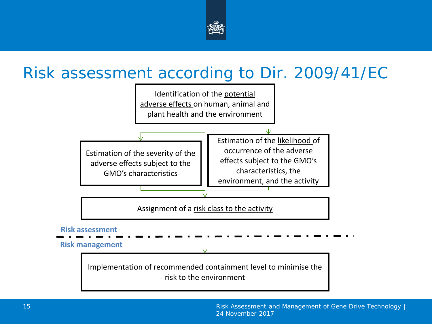

# Risk assessment according to Dir. 2009/41/EC

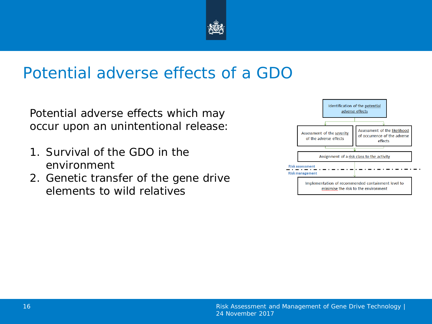

## Potential adverse effects of a GDO

Potential adverse effects which may occur upon an unintentional release:

- 1. Survival of the GDO in the environment
- 2. Genetic transfer of the gene drive elements to wild relatives

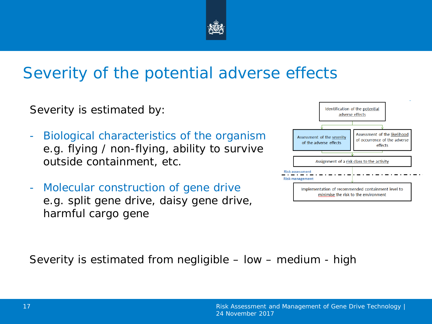

# Severity of the potential adverse effects

Severity is estimated by:

- Biological characteristics of the organism e.g. flying / non-flying, ability to survive outside containment, etc.
- Molecular construction of gene drive e.g. split gene drive, daisy gene drive, harmful cargo gene



Severity is estimated from negligible – low – medium - high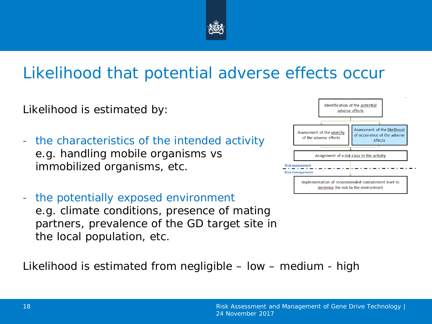

# Likelihood that potential adverse effects occur

Likelihood is estimated by:

- the characteristics of the intended activity e.g. handling mobile organisms vs immobilized organisms, etc.
- the potentially exposed environment e.g. climate conditions, presence of mating partners, prevalence of the GD target site in the local population, etc.

Likelihood is estimated from negligible – low – medium - high

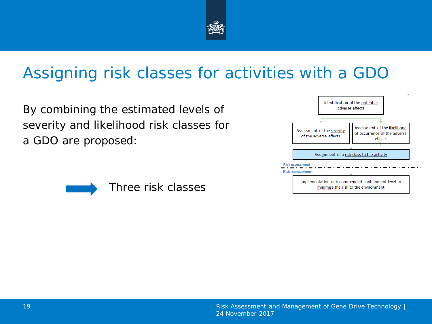

# Assigning risk classes for activities with a GDO

By combining the estimated levels of severity and likelihood risk classes for a GDO are proposed:



Three risk classes

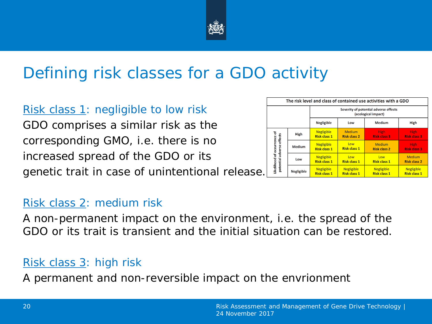

# Defining risk classes for a GDO activity

#### Risk class 1: negligible to low risk

GDO comprises a similar risk as the corresponding GMO, i.e. there is no increased spread of the GDO or its genetic trait in case of unintentional release.

#### Risk class 2: medium risk

A non-permanent impact on the environment, i.e. the spread of the GDO or its trait is transient and the initial situation can be restored.

#### Risk class 3: high risk

A permanent and non-reversible impact on the envrionment

| The risk level and class of contained use activities with a GDO |            |                                                              |                                          |                                          |                                          |
|-----------------------------------------------------------------|------------|--------------------------------------------------------------|------------------------------------------|------------------------------------------|------------------------------------------|
|                                                                 |            | Severity of potential adverse effects<br>(ecological impact) |                                          |                                          |                                          |
|                                                                 |            | Negligible                                                   | Low                                      | Medium                                   | High                                     |
| Likelihood of occurrence of<br>adverse effects<br>potential     | High       | <b>Negligible</b><br><b>Risk class 1</b>                     | <b>Medium</b><br><b>Risk class 2</b>     | <b>High</b><br><b>Risk class 3</b>       | <b>High</b><br><b>Risk class 3</b>       |
|                                                                 | Medium     | Negligible<br><b>Risk class 1</b>                            | Low<br><b>Risk class 1</b>               | <b>Medium</b><br><b>Risk class 2</b>     | <b>High</b><br><b>Risk class 3</b>       |
|                                                                 | Low        | <b>Negligible</b><br><b>Risk class 1</b>                     | Low<br><b>Risk class 1</b>               | Low<br><b>Risk class 1</b>               | Medium<br><b>Risk class 2</b>            |
|                                                                 | Negligible | <b>Negligible</b><br><b>Risk class 1</b>                     | <b>Negligible</b><br><b>Risk class 1</b> | <b>Negligible</b><br><b>Risk class 1</b> | <b>Negligible</b><br><b>Risk class 1</b> |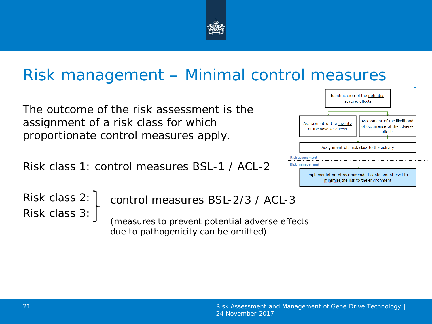

## Risk management – Minimal control measures

The outcome of the risk assessment is the assignment of a risk class for which proportionate control measures apply.

Risk class 1: control measures BSL-1 / ACL-2



Risk class 2: Risk class 3:

control measures BSL-2/3 / ACL-3

(measures to prevent potential adverse effects due to pathogenicity can be omitted)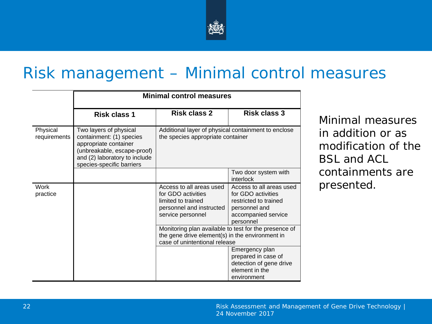

## Risk management – Minimal control measures

|                          | <b>Minimal control measures</b>                                                                                                                                          |                                                                                                                       |                                                                                                                              |  |
|--------------------------|--------------------------------------------------------------------------------------------------------------------------------------------------------------------------|-----------------------------------------------------------------------------------------------------------------------|------------------------------------------------------------------------------------------------------------------------------|--|
|                          | <b>Risk class 1</b>                                                                                                                                                      | <b>Risk class 2</b>                                                                                                   | <b>Risk class 3</b>                                                                                                          |  |
| Physical<br>requirements | Two layers of physical<br>containment: (1) species<br>appropriate container<br>(unbreakable, escape-proof)<br>and (2) laboratory to include<br>species-specific barriers | Additional layer of physical containment to enclose<br>the species appropriate container                              |                                                                                                                              |  |
|                          |                                                                                                                                                                          |                                                                                                                       | Two door system with<br>interlock                                                                                            |  |
| Work<br>practice         |                                                                                                                                                                          | Access to all areas used<br>for GDO activities<br>limited to trained<br>personnel and instructed<br>service personnel | Access to all areas used<br>for GDO activities<br>restricted to trained<br>personnel and<br>accompanied service<br>personnel |  |
|                          | Monitoring plan available to test for the presence of<br>the gene drive element(s) in the environment in<br>case of unintentional release                                |                                                                                                                       |                                                                                                                              |  |
|                          |                                                                                                                                                                          |                                                                                                                       | Emergency plan<br>prepared in case of<br>detection of gene drive<br>element in the<br>environment                            |  |

Minimal measures in addition or as modification of the BSL and ACL containments are presented.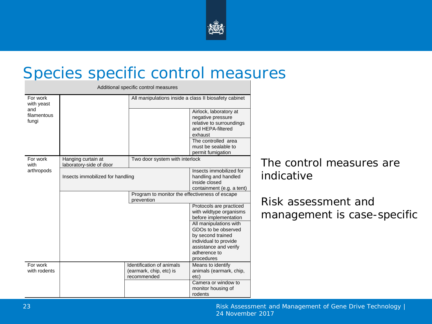

## Species specific control measures

| Additional specific control measures |                                               |                                                                     |                                                                                                                                                                                                                                   |  |  |
|--------------------------------------|-----------------------------------------------|---------------------------------------------------------------------|-----------------------------------------------------------------------------------------------------------------------------------------------------------------------------------------------------------------------------------|--|--|
| For work<br>with yeast               |                                               | All manipulations inside a class II biosafety cabinet               |                                                                                                                                                                                                                                   |  |  |
| and<br>filamentous<br>fungi          |                                               |                                                                     | Airlock, laboratory at<br>negative pressure<br>relative to surroundings<br>and HEPA-filtered<br>exhaust                                                                                                                           |  |  |
|                                      |                                               |                                                                     | The controlled area<br>must be sealable to<br>permit fumigation                                                                                                                                                                   |  |  |
| For work<br>with<br>arthropods       | Hanging curtain at<br>laboratory-side of door | Two door system with interlock                                      |                                                                                                                                                                                                                                   |  |  |
|                                      | Insects immobilized for handling              |                                                                     | Insects immobilized for<br>handling and handled<br>inside closed<br>containment (e.g. a tent)                                                                                                                                     |  |  |
|                                      |                                               | Program to monitor the effectiveness of escape<br>prevention        |                                                                                                                                                                                                                                   |  |  |
|                                      |                                               |                                                                     | Protocols are practiced<br>with wildtype organisms<br>before implementation<br>All manipulations with<br>GDOs to be observed<br>by second trained<br>individual to provide<br>assistance and verify<br>adherence to<br>procedures |  |  |
| For work<br>with rodents             |                                               | Identification of animals<br>(earmark, chip, etc) is<br>recommended | Means to identify<br>animals (earmark, chip,<br>etc)                                                                                                                                                                              |  |  |
|                                      |                                               |                                                                     | Camera or window to<br>monitor housing of<br>rodents                                                                                                                                                                              |  |  |

#### The control measures are indicative

#### Risk assessment and management is case-specific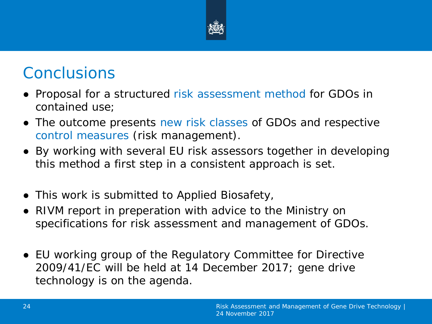

## **Conclusions**

- Proposal for a structured risk assessment method for GDOs in contained use;
- The outcome presents new risk classes of GDOs and respective control measures (risk management).
- By working with several EU risk assessors together in developing this method a first step in a consistent approach is set.
- This work is submitted to *Applied Biosafety,*
- RIVM report in preperation with advice to the Ministry on specifications for risk assessment and management of GDOs.
- EU working group of the Regulatory Committee for Directive 2009/41/EC will be held at 14 December 2017; gene drive technology is on the agenda.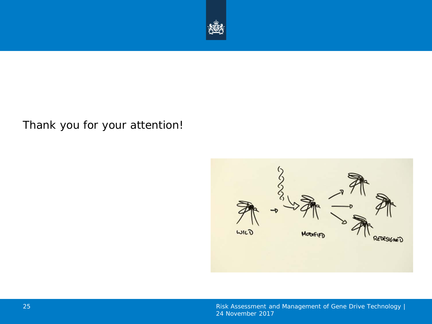

#### Thank you for your attention!



Risk Assessment and Management of Gene Drive Technology | 24 November 2017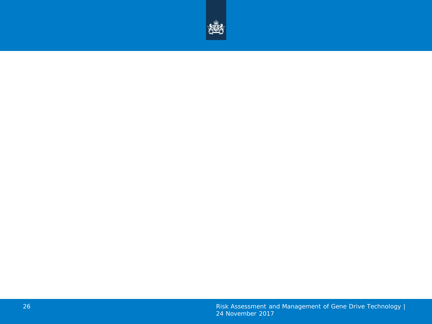